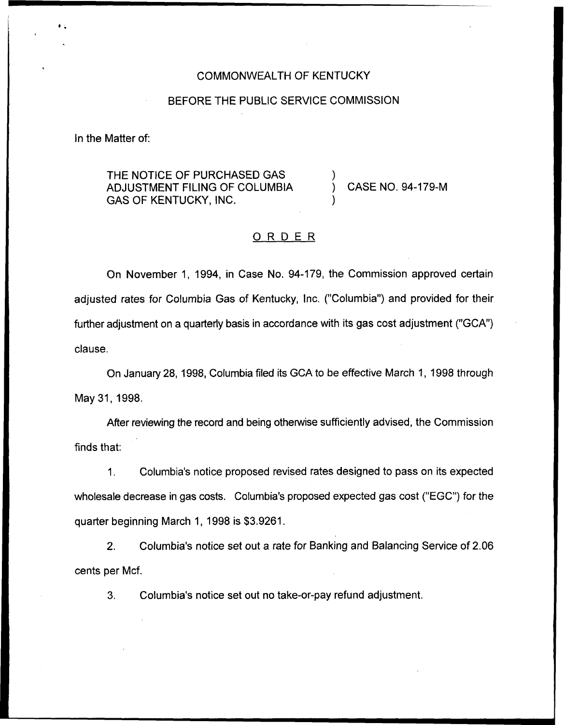### COMMONWEALTH OF KENTUCKY

### BEFORE THE PUBLIC SERVICE COMMISSION

In the Matter of:

THE NOTICE OF PURCHASED GAS ADJUSTMENT FILING OF COLUMBIA GAS OF KENTUCKY, INC.

) CASE NO. 94-179-M

### ORDER

)

)

On November 1, 1994, in Case No. 94-179, the Commission approved certain adjusted rates for Columbia Gas of Kentucky, Inc. ("Columbia") and provided for their further adjustment on a quarterly basis in accordance with its gas cost adjustment ("GCA") clause.

On January 28, 1998, Columbia filed its GCA to be effective March 1, 1998 through May 31, 1998.

After reviewing the record and being otherwise sufficiently advised, the Commission finds that:

1. Columbia's notice proposed revised rates designed to pass on its expected wholesale decrease in gas costs. Columbia's proposed expected gas cost ("EGC") for the quarter beginning March 1, 1998 is \$3.9261.

2. Columbia's notice set out a rate for Banking and Balancing Service of 2.06 cents per Mcf.

3. Columbia's notice set out no take-or-pay refund adjustment.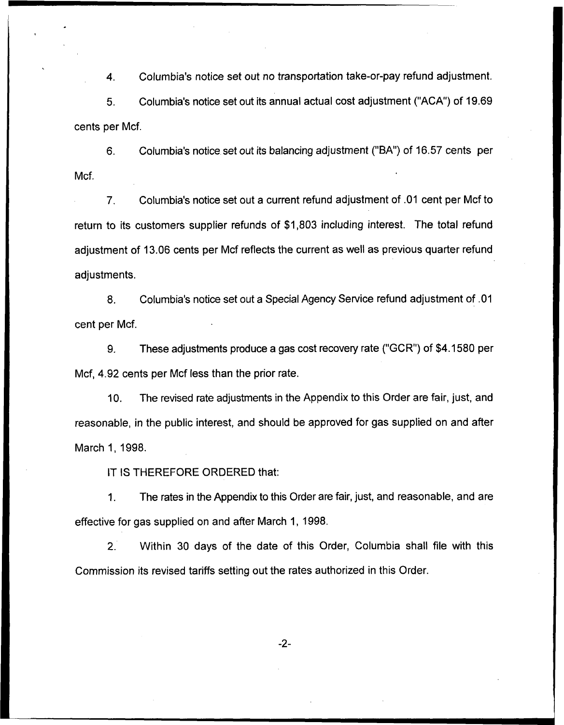4. Columbia's notice set out no transportation take-or-pay refund adjustment. 5. Columbia's notice set out its annual actual cost adjustment ("ACA") of 19.69

cents per Mcf.

6. Columbia's notice set out its balancing adjustment ("BA")of 16.57 cents per Mcf.

7. Columbia's notice set out a current refund adjustment of .01 cent per Mcf to return to its customers supplier refunds of \$1,803 including interest. The total refund adjustment of 13.06 cents per Mcf reflects the current as well as previous quarter refund adjustments.

8. Columbia's notice set out a Special Agency Service refund adjustment of .01 cent per Mcf.

9. These adjustments produce a gas cost recovery rate ("GCR") of \$4.1580 per Mcf, 4.92 cents per Mcf less than the prior rate.

10. The revised rate adjustments in the Appendix to this Order are fair, just, and reasonable, in the public interest, and should be approved for gas supplied on and after March 1, 1998.

IT IS THEREFORE ORDERED that:

1. The rates in the Appendix to this Order are fair, just, and reasonable, and are effective for gas supplied on and after March 1, 1998.

2. Within 30 days of the date of this Order, Columbia shall file with this Commission its revised tariffs setting out the rates authorized in this Order.

 $-2-$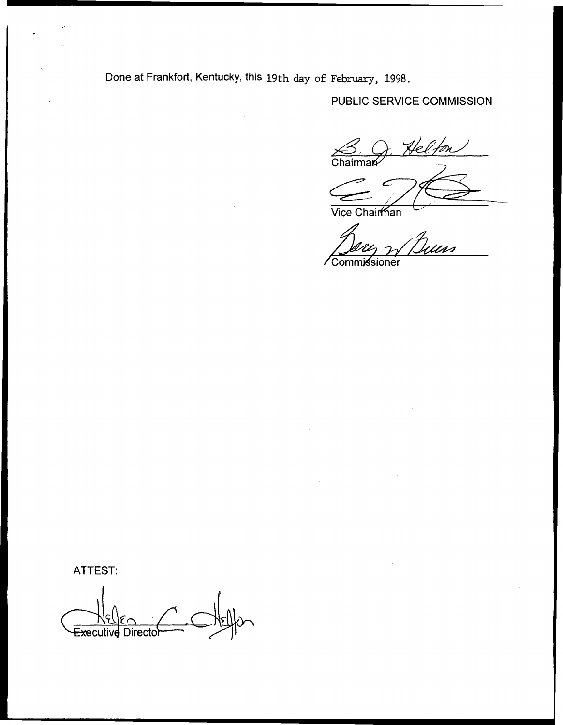Done at Frankfort, Kentucky, this 19th day of February, 1998.

## PUBLIC SERVICE COMMISSION

Helton  $\frac{\sqrt{3}}{mathrm{Chairman}}$ 

Vice Chairman

Uns Commissioner

ATTEST:

Executive Directol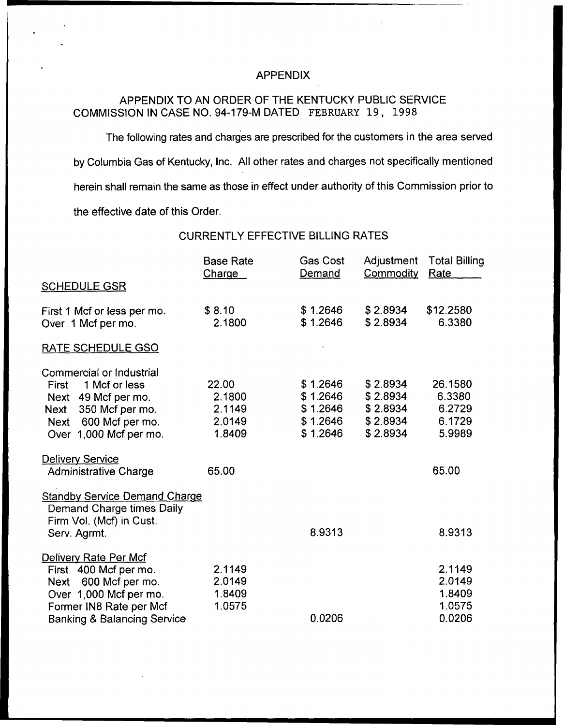### APPENDIX

### APPENDIX TO AN ORDER OF THE KENTUCKY PUBLIC SERVICE COMMISSION IN CASE NO. 94-179-M DATED FEBRUARY 19, 1998

The following rates and charges are prescribed for the customers in the area served by Columbia Gas of Kentucky, lnc. All other rates and charges not specifically mentioned herein shall remain the same as those in effect under authority of this Commission prior to the effective date of this Order.

CURRENTLY EFFECTIVE BILLING RATES

|                                        | <b>Base Rate</b><br>Charge | <b>Gas Cost</b><br>Demand | Adjustment<br>Commodity | <b>Total Billing</b><br>Rate |
|----------------------------------------|----------------------------|---------------------------|-------------------------|------------------------------|
| <b>SCHEDULE GSR</b>                    |                            |                           |                         |                              |
| First 1 Mcf or less per mo.            | \$8.10                     | \$1.2646                  | \$2.8934                | \$12.2580                    |
| Over 1 Mcf per mo.                     | 2.1800                     | \$1.2646                  | \$2.8934                | 6.3380                       |
| RATE SCHEDULE GSO                      |                            |                           |                         |                              |
| Commercial or Industrial               |                            |                           |                         |                              |
| 1 Mcf or less<br><b>First</b>          | 22.00                      | \$1.2646                  | \$2.8934                | 26.1580                      |
| Next 49 Mcf per mo.                    | 2.1800                     | \$1.2646                  | \$2.8934                | 6.3380                       |
| 350 Mcf per mo.<br>Next                | 2.1149                     | \$1.2646                  | \$2.8934                | 6.2729                       |
| Next 600 Mcf per mo.                   | 2.0149                     | \$1.2646                  | \$2.8934                | 6.1729                       |
| Over 1,000 Mcf per mo.                 | 1.8409                     | \$1.2646                  | \$2.8934                | 5.9989                       |
| <b>Delivery Service</b>                |                            |                           |                         |                              |
| <b>Administrative Charge</b>           | 65.00                      |                           |                         | 65.00                        |
| <b>Standby Service Demand Charge</b>   |                            |                           |                         |                              |
| Demand Charge times Daily              |                            |                           |                         |                              |
| Firm Vol. (Mcf) in Cust.               |                            |                           |                         |                              |
| Serv. Agrmt.                           |                            | 8.9313                    |                         | 8.9313                       |
| Delivery Rate Per Mcf                  |                            |                           |                         |                              |
| First 400 Mcf per mo.                  | 2.1149                     |                           |                         | 2.1149                       |
| Next 600 Mcf per mo.                   | 2.0149                     |                           |                         | 2.0149                       |
| Over 1,000 Mcf per mo.                 | 1.8409                     |                           |                         | 1.8409                       |
| Former IN8 Rate per Mcf                | 1.0575                     |                           |                         | 1.0575                       |
| <b>Banking &amp; Balancing Service</b> |                            | 0.0206                    |                         | 0.0206                       |